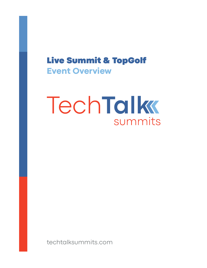#### Live Summit & TopGolf **Event Overview**

# TechTalk summits

techtalksummits.com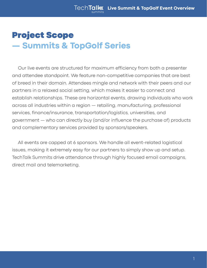## Project Scope **— Summits & TopGolf Series**

 Our live events are structured for maximum efficiency from both a presenter and attendee standpoint. We feature non-competitive companies that are best of breed in their domain. Attendees mingle and network with their peers and our partners in a relaxed social setting, which makes it easier to connect and establish relationships. These are horizontal events, drawing individuals who work across all industries within a region — retailing, manufacturing, professional services, finance/insurance, transportation/logistics, universities, and government — who can directly buy (and/or influence the purchase of) products and complementary services provided by sponsors/speakers.

 All events are capped at 6 sponsors. We handle all event-related logistical issues, making it extremely easy for our partners to simply show up and setup. TechTalk Summits drive attendance through highly focused email campaigns, direct mail and telemarketing.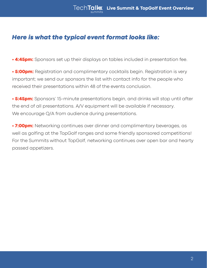#### *Here is what the typical event format looks like:*

• 4:45pm: Sponsors set up their displays on tables included in presentation fee.

• **5:00pm:** Registration and complimentary cocktails begin. Registration is very important; we send our sponsors the list with contact info for the people who received their presentations within 48 of the events conclusion.

• **5:45pm:** Sponsors' 15-minute presentations begin, and drinks will stop until after the end of all presentations. A/V equipment will be available if necessary. We encourage Q/A from audience during presentations.

• 7:00pm: Networking continues over dinner and complimentary beverages, as well as golfing at the TopGolf ranges and some friendly sponsored competitions! For the Summits without TopGolf, networking continues over open bar and hearty passed appetizers.